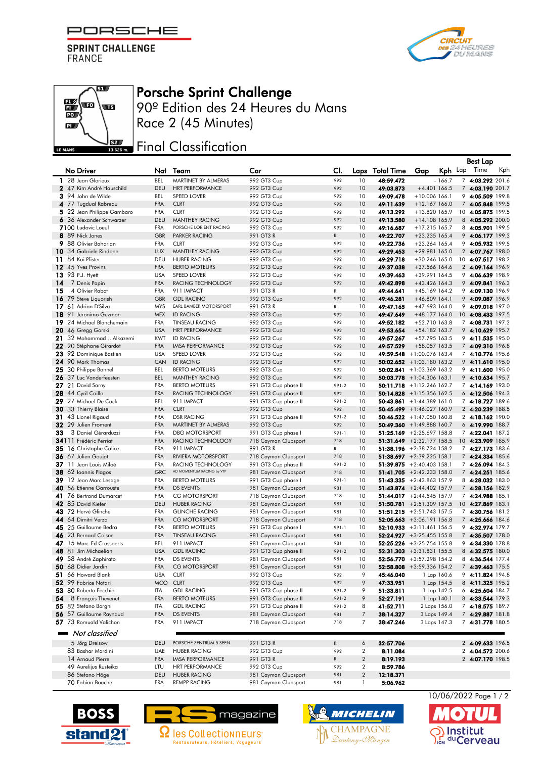PORSCHE F

**SPRINT CHALLENGE FRANCE** 

 $\overline{\mathbf{S}^{\prime}}$ 

wa

By a

 $\mathbb{E}$ wo

 $\mathbf{p}$ 

LE MANS





90º Edition des 24 Heures du Mans Race 2 (45 Minutes)

## **JEZ Final Classification**

|    |                                              |                          |                                           |                                              |               |                         |                   |                                                              |             | <b>Best Lap</b>                      |     |
|----|----------------------------------------------|--------------------------|-------------------------------------------|----------------------------------------------|---------------|-------------------------|-------------------|--------------------------------------------------------------|-------------|--------------------------------------|-----|
|    | No Driver                                    | Nat                      | Team                                      | Car                                          | CI.           | Laps                    | <b>Total Time</b> | Gap                                                          | Kph Lap     | Time                                 | Kph |
|    | 1 28 Jean Glorieux                           | <b>BEL</b>               | MARTINET BY ALMERAS                       | 992 GT3 Cup                                  | 992           | 10                      | 48:59.472         |                                                              | $-166.7$    | 7 4:03.292 201.6                     |     |
|    | 2 47 Kim André Hauschild                     | <b>DEU</b>               | <b>HRT PERFORMANCE</b>                    | 992 GT3 Cup                                  | 992           | 10                      | 49:03.873         | $+4.401$ 166.5                                               |             | 7 4:03.190 201.7                     |     |
|    | 3 94 John de Wilde                           | <b>BEL</b>               | <b>SPEED LOVER</b>                        | 992 GT3 Cup                                  | 992           | 10                      | 49:09.478         | $+10.006$ 166.1                                              |             | 9 4:05.509 199.8                     |     |
|    | 4 77 Tugdual Rabreau                         | <b>FRA</b>               | <b>CLRT</b>                               | 992 GT3 Cup                                  | 992           | 10                      | 49:11.639         | $+12.167166.0$                                               |             | 7 4:05.848 199.5                     |     |
|    | 5 22 Jean Philippe Gambaro                   | <b>FRA</b>               | <b>CLRT</b>                               | 992 GT3 Cup                                  | 992           | 10                      | 49:13.292         | +13.820 165.9                                                |             | 10 4:05.875 199.5                    |     |
|    | 6 36 Alexander Schwarzer                     | <b>DEU</b>               | <b>MANTHEY RACING</b>                     | 992 GT3 Cup                                  | 992           | 10                      | 49:13.580         | +14.108 165.9                                                |             | 8 4:05.292 200.0                     |     |
|    | 7100 Ludovic Loeul                           | <b>FRA</b>               | PORSCHE LORIENT RACING                    | 992 GT3 Cup                                  | 992           | 10                      | 49:16.687         | +17.215 165.7                                                |             | 8 4:05.901 199.5                     |     |
|    | 8 89 Nick Jones                              | <b>GBR</b>               | <b>PARKER RACING</b>                      | 991 GT3 R                                    | ${\mathsf R}$ | 10                      | 49:22.707         | $+23.235$ 165.4                                              |             | 9 4:06.177 199.3                     |     |
|    | 9 88 Olivier Baharian                        | <b>FRA</b>               | <b>CLRT</b>                               | 992 GT3 Cup                                  | 992           | 10                      | 49:22.736         | $+23.264$ 165.4                                              |             | 9 4:05.932 199.5                     |     |
|    | 10 34 Gabriele Rindone                       | <b>LUX</b>               | MANTHEY RACING                            | 992 GT3 Cup                                  | 992           | 10                      | 49:29.453         | +29.981 165.0                                                |             | 2 4:07.767 198.0                     |     |
|    | 11 84 Kai Pfister                            | DEU                      | <b>HUBER RACING</b>                       | 992 GT3 Cup                                  | 992           | 10                      | 49:29.718         | +30.246 165.0                                                |             | 10 4:07.517 198.2                    |     |
|    | 12 45 Yves Provins                           | <b>FRA</b>               | <b>BERTO MOTEURS</b>                      | 992 GT3 Cup                                  | 992           | 10                      | 49:37.038         | +37.566 164.6                                                |             | 2 4:09.164 196.9                     |     |
|    | 13 93 P.J. Hyett                             | <b>USA</b>               | <b>SPEED LOVER</b>                        | 992 GT3 Cup                                  | 992           | 10                      | 49:39.463         | +39.991 164.5                                                |             | 9 4:06.639 198.9                     |     |
| 14 | 7 Denis Papin                                | <b>FRA</b>               | RACING TECHNOLOGY                         | 992 GT3 Cup                                  | 992           | 10                      | 49:42.898         | +43.426 164.3                                                |             | 9 4:09.841 196.3                     |     |
| 15 | 4 Olivier Rabot                              | <b>FRA</b>               | 911 IMPACT                                | 991 GT3 R                                    | $\mathsf{R}$  | 10                      | 49:44.641         | +45.169 164.2                                                |             | 9 4:09.130 196.9                     |     |
|    | 16 79 Steve Liquorish                        | <b>GBR</b>               | <b>GDL RACING</b>                         | 992 GT3 Cup                                  | 992           | 10                      | 49:46.281         | +46.809 164.1                                                |             | 9 4:09.087 196.9                     |     |
|    | 17 61 Adrian D'Silva                         | <b>MYS</b>               | EARL BAMBER MOTORSPORT                    | 991 GT3 R                                    | $\mathsf{R}$  | 10                      | 49:47.165         | +47.693 164.0                                                |             | 9 4:09.018 197.0                     |     |
|    | 18 91 Jeronimo Guzman                        | <b>MEX</b>               | <b>ID RACING</b>                          | 992 GT3 Cup                                  | 992           | 10                      | 49:47.649         | +48.177 164.0                                                |             | 10 4:08.433 197.5                    |     |
|    | 19 24 Michael Blanchemain                    | <b>FRA</b>               | <b>TINSEAU RACING</b>                     | 992 GT3 Cup                                  | 992           | 10                      | 49:52.182         | +52.710 163.8                                                |             | 7 4:08.731 197.2                     |     |
|    | 20 46 Gregg Gorski                           | <b>USA</b>               | <b>HRT PERFORMANCE</b>                    | 992 GT3 Cup                                  | 992           | 10                      | 49:53.654         | +54.182 163.7                                                |             | 9 4:10.629 195.7                     |     |
| 21 | 32 Mohammad J. Alkazemi                      | <b>KWT</b>               | <b>ID RACING</b>                          | 992 GT3 Cup                                  | 992           | 10                      | 49:57.267         | +57.795 163.5                                                |             | 9 4:11.535 195.0                     |     |
|    | 22 20 Stéphane Girardot                      | <b>FRA</b>               | <b>IMSA PERFORMANCE</b>                   | 992 GT3 Cup                                  | 992           | 10                      | 49:57.529         | +58.057 163.5                                                |             | 7 4:09.310 196.8                     |     |
|    | 23 92 Dominique Bastien<br>24 90 Mark Thomas | <b>USA</b>               | <b>SPEED LOVER</b>                        | 992 GT3 Cup                                  | 992           | 10                      |                   | 49:59.548 +1:00.076 163.4                                    |             | 7 4:10.776 195.6                     |     |
|    |                                              | CAN                      | <b>ID RACING</b><br><b>BERTO MOTEURS</b>  | 992 GT3 Cup                                  | 992<br>992    | 10                      |                   | 50:02.652 +1:03.180 163.2                                    |             | 9 4:11.610 195.0                     |     |
|    | 25 30 Philippe Bonnel                        | <b>BEL</b>               |                                           | 992 GT3 Cup                                  | 992           | 10                      |                   | 50:02.841 $+1:03.369$ 163.2                                  |             | 9 4:11.600 195.0                     |     |
|    | 26 37 Luc Vanderfeesten                      | <b>BEL</b><br><b>FRA</b> | <b>MANTHEY RACING</b>                     | 992 GT3 Cup                                  | 991-2         | 10<br>10                |                   | $50:03.778$ + 1:04.306 163.1<br>$50:11.718 + 1:12.246 162.7$ |             | 9 4:10.634 195.7                     |     |
|    | 27 21 David Sarny<br>28 44 Cyril Caillo      | <b>FRA</b>               | <b>BERTO MOTEURS</b><br>RACING TECHNOLOGY | 991 GT3 Cup phase II                         | 992           | 10                      |                   | 50:14.828 +1:15.356 162.5                                    |             | 7 4:14.169 193.0<br>6 4:12.506 194.3 |     |
|    | 29 27 Michael De Cock                        | BEL                      | 911 IMPACT                                | 991 GT3 Cup phase II<br>991 GT3 Cup phase II | 991-2         | 10                      |                   | 50:43.861 + 1:44.389 161.0                                   |             | 7 4:18.727 189.6                     |     |
|    | 30 33 Thierry Blaise                         | <b>FRA</b>               | <b>CLRT</b>                               | 992 GT3 Cup                                  | 992           | 10                      |                   | 50:45.499 +1:46.027 160.9                                    |             | 2 4:20.239 188.5                     |     |
|    | 31 43 Lionel Rigaud                          | <b>FRA</b>               | <b>DSR RACING</b>                         | 991 GT3 Cup phase II                         | 991-2         | 10                      |                   | 50:46.522 +1:47.050 160.8                                    |             | 2 4:18.162 190.0                     |     |
|    | 32 29 Julien Froment                         | <b>FRA</b>               | MARTINET BY ALMERAS                       | 992 GT3 Cup                                  | 992           | 10                      |                   | 50:49.360 + 1:49.888 160.7                                   |             | 6 4:19.990 188.7                     |     |
| 33 | 3 Daniel Gérarduzzi                          | <b>FRA</b>               | <b>DBG MOTORSPORT</b>                     | 991 GT3 Cup phase I                          | $991 - 1$     | 10                      |                   | 51:25.169 $+2:25.697$ 158.8                                  |             | 7 4:22.041 187.2                     |     |
|    | 34111 Frédéric Perriat                       | <b>FRA</b>               | RACING TECHNOLOGY                         | 718 Cayman Clubsport                         | 718           | 10                      |                   | 51:31.649 +2:32.177 158.5                                    |             | 10 4:23.909 185.9                    |     |
|    | 35 16 Christophe Calice                      | <b>FRA</b>               | 911 IMPACT                                | 991 GT3 R                                    | $\mathsf{R}$  | 10                      |                   | 51:38.196 +2:38.724 158.2                                    |             | 7 4:27.173 183.6                     |     |
|    | 36 67 Julien Goujat                          | <b>FRA</b>               | <b>RIVIERA MOTORSPORT</b>                 | 718 Cayman Clubsport                         | 718           | 10                      |                   | 51:38.697 +2:39.225 158.1                                    |             | 7 4:24.334 185.6                     |     |
|    | 37 11 Jean Louis Miloé                       | FRA                      | RACING TECHNOLOGY                         | 991 GT3 Cup phase II                         | 991-2         | 10                      |                   | 51:39.875 $+2:40.403$ 158.1                                  |             | 7 4:26.094 184.3                     |     |
|    | 38 62 Ioannis Plagos                         | <b>GRC</b>               | AD MOMENTUM RACING by VTP                 | 981 Cayman Clubsport                         | 718           | 10                      |                   | 51:41.705 +2:42.233 158.0                                    |             | 7 4:24.251 185.6                     |     |
|    | 39 12 Jean Marc Lesage                       | <b>FRA</b>               | <b>BERTO MOTEURS</b>                      | 991 GT3 Cup phase I                          | 991-1         | 10                      |                   | 51:43.335 $+2:43.863$ 157.9                                  |             | 8 4:28.032 183.0                     |     |
|    | 40 56 Etienne Garrouste                      | <b>FRA</b>               | <b>DS EVENTS</b>                          | 981 Cayman Clubsport                         | 981           | 10                      |                   | 51:43.874 +2:44.402 157.9                                    |             | 7 4:28.156 182.9                     |     |
|    | 41 76 Bertrand Dumarcet                      | <b>FRA</b>               | <b>CG MOTORSPORT</b>                      | 718 Cayman Clubsport                         | 718           | 10                      |                   | 51:44.017 +2:44.545 157.9                                    |             | 7 4:24.988 185.1                     |     |
|    | 42 85 David Kiefer                           | <b>DEU</b>               | <b>HUBER RACING</b>                       | 981 Cayman Clubsport                         | 981           | 10                      |                   | 51:50.781 +2:51.309 157.5                                    |             | 10 4:27.869 183.1                    |     |
|    | 43 72 Hervé Glinche                          | <b>FRA</b>               | <b>GLINCHE RACING</b>                     | 981 Cayman Clubsport                         | 981           | 10                      |                   | 51:51.215 +2:51.743 157.5                                    |             | 7 4:30.756 181.2                     |     |
|    | 44 64 Dimitri Verza                          | <b>FRA</b>               | <b>CG MOTORSPORT</b>                      | 718 Cayman Clubsport                         | 718           | 10                      |                   | 52:05.663 +3:06.191 156.8                                    |             | 7 4:25.666 184.6                     |     |
|    | 45 25 Guillaume Bedra                        | <b>FRA</b>               | <b>BERTO MOTEURS</b>                      | 991 GT3 Cup phase I                          | $991-1$       | 10                      |                   | 52:10.933 $+3:11.461$ 156.5                                  |             | 9 4:32.974 179.7                     |     |
|    | 46 23 Bernard Coisne                         | <b>FRA</b>               | <b>TINSEAU RACING</b>                     | 981 Cayman Clubsport                         | 981           | 10                      |                   | 52:24.927 +3:25.455 155.8                                    |             | 7 4:35.507 178.0                     |     |
|    | 47 15 Marc-Ed Crassaerts                     | <b>BEL</b>               | 911 IMPACT                                | 981 Cayman Clubsport                         | 981           | 10                      |                   | 52:25.226 +3:25.754 155.8                                    |             | 9 4:34.330 178.8                     |     |
|    | 48 81 Jim Michaelian                         | <b>USA</b>               | <b>GDL RACING</b>                         | 991 GT3 Cup phase II                         | 991-2         | 10                      |                   | 52:31.303 +3:31.831 155.5                                    |             | 8 4:32.575 180.0                     |     |
|    | 49 58 André Zaphirato                        | <b>FRA</b>               | DS EVENTS                                 | 981 Cayman Clubsport                         | 981           | 10                      |                   | 52:56.770 +3:57.298 154.2                                    |             | 8 4:36.544 177.4                     |     |
|    | 50 68 Didier Jardin                          | <b>FRA</b>               | <b>CG MOTORSPORT</b>                      | 981 Cayman Clubsport                         | 981           | 10                      |                   | 52:58.808 +3:59.336 154.2                                    |             | 7 4:39.463 175.5                     |     |
|    | 51 66 Howard Blank                           | <b>USA</b>               | <b>CLRT</b>                               | 992 GT3 Cup                                  | 992           | 9                       | 45:46.040         |                                                              | 1 Lap 160.6 | 9 4:11.824 194.8                     |     |
|    | 52 99 Fabrice Notari                         | <b>MCO</b>               | <b>CLRT</b>                               | 992 GT3 Cup                                  | 992           | 9                       | 47:33.951         |                                                              | 1 Lap 154.5 | 8 4:11.325 195.2                     |     |
|    | 53 80 Roberto Fecchio                        | ITA                      | <b>GDL RACING</b>                         | 991 GT3 Cup phase II                         | 991-2         | 9                       | 51:33.811         |                                                              | 1 Lap 142.5 | 6 4:25.604 184.7                     |     |
| 54 | 8 François Thevenet                          | <b>FRA</b>               | <b>BERTO MOTEURS</b>                      | 991 GT3 Cup phase II                         | 991-2         | 9                       | 52:27.191         | 1 Lap 140.1                                                  |             | 8 4:33.544 179.3                     |     |
|    | 55 82 Stefano Borghi                         | ITA                      | <b>GDL RACING</b>                         | 991 GT3 Cup phase II                         | 991-2         | 8                       | 41:52.711         | 2 Laps 156.0                                                 |             | 7 4:18.575 189.7                     |     |
|    | 56 57 Guillaume Raynaud                      | <b>FRA</b>               | <b>DS EVENTS</b>                          | 981 Cayman Clubsport                         | 981           | $\overline{7}$          | 38:14.327         | 3 Laps 149.4                                                 |             | 7 4:29.887 181.8                     |     |
|    | 57 73 Romuald Valichon                       | FRA                      | 911 IMPACT                                | 718 Cayman Clubsport                         | 718           | $\overline{7}$          | 38:47.246         | 3 Laps 147.3                                                 |             | 7 4:31.778 180.5                     |     |
|    | Not classified                               |                          |                                           |                                              |               |                         |                   |                                                              |             |                                      |     |
|    | 5 Jörg Dreisow                               | <b>DEU</b>               | PORSCHE ZENTRUM 5 SEEN                    | 991 GT3 R                                    | $\mathsf{R}$  | 6                       | 32:57.706         |                                                              |             | 2 4:09.633 196.5                     |     |
|    | 83 Bashar Mardini                            | UAE                      | <b>HUBER RACING</b>                       | 992 GT3 Cup                                  | 992           | 2                       | 8:11.084          |                                                              |             | 2 4:04.572 200.6                     |     |
|    | 14 Arnaud Pierre                             | <b>FRA</b>               | <b>IMSA PERFORMANCE</b>                   | 991 GT3 R                                    | $\mathsf{R}$  | $\overline{\mathbf{c}}$ | 8:19.193          |                                                              |             | 2 4:07.170 198.5                     |     |
|    | 49 Aurelijus Rusteika                        | LTU                      | <b>HRT PERFORMANCE</b>                    | 992 GT3 Cup                                  | 992           | $\overline{\mathbf{c}}$ | 8:59.786          |                                                              |             |                                      |     |
|    | 86 Stefano Höge                              | DEU                      | <b>HUBER RACING</b>                       | 981 Cayman Clubsport                         | 981           | $\sqrt{2}$              | 12:18.371         |                                                              |             |                                      |     |
|    | 70 Fabian Bouche                             | FRA                      | <b>REMPP RACING</b>                       | 981 Cayman Clubsport                         | 981           | 1                       | 5:06.962          |                                                              |             |                                      |     |